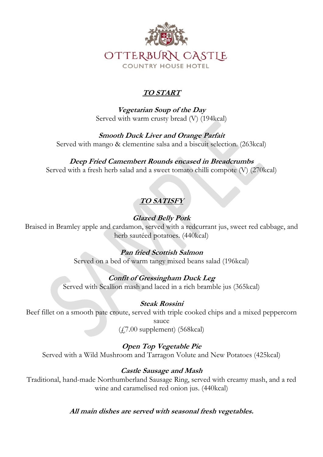

## *TO START*

*Vegetarian Soup of the Day* Served with warm crusty bread (V) (194kcal)

*Smooth Duck Liver and Orange Parfait* Served with mango & clementine salsa and a biscuit selection. (263kcal)

*Deep Fried Camembert Rounds encased in Breadcrumbs* Served with a fresh herb salad and a sweet tomato chilli compote (V) (270kcal)

# *TO SATISFY*

## *Glazed Belly Pork*

Braised in Bramley apple and cardamon, served with a redcurrant jus, sweet red cabbage, and herb sautéed potatoes. (440kcal)

## *Pan fried Scottish Salmon*

Served on a bed of warm tangy mixed beans salad (196kcal)

## *Confit of Gressingham Duck Leg*

Served with Scallion mash and laced in a rich bramble jus (365kcal)

## *Steak Rossini*

Beef fillet on a smooth pate croute, served with triple cooked chips and a mixed peppercorn sauce

 $(47.00$  supplement)  $(568$ kcal)

## *Open Top Vegetable Pie*

Served with a Wild Mushroom and Tarragon Volute and New Potatoes (425kcal)

#### *Castle Sausage and Mash*

Traditional, hand-made Northumberland Sausage Ring, served with creamy mash, and a red wine and caramelised red onion jus. (440kcal)

*All main dishes are served with seasonal fresh vegetables.*